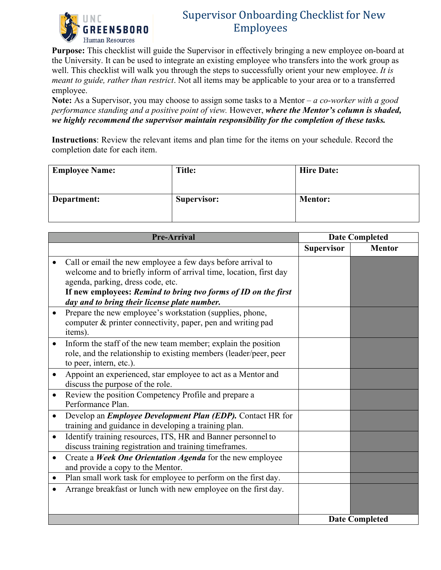

## Supervisor Onboarding Checklist for New Employees

**Purpose:** This checklist will guide the Supervisor in effectively bringing a new employee on-board at the University. It can be used to integrate an existing employee who transfers into the work group as well. This checklist will walk you through the steps to successfully orient your new employee. *It is meant to guide, rather than restrict*. Not all items may be applicable to your area or to a transferred employee.

**Note:** As a Supervisor, you may choose to assign some tasks to a Mentor – *a co-worker with a good performance standing and a positive point of view.* However, *where the Mentor's column is shaded, we highly recommend the supervisor maintain responsibility for the completion of these tasks.*

**Instructions**: Review the relevant items and plan time for the items on your schedule. Record the completion date for each item.

| <b>Employee Name:</b> | Title:      | <b>Hire Date:</b> |
|-----------------------|-------------|-------------------|
| Department:           | Supervisor: | <b>Mentor:</b>    |

| <b>Pre-Arrival</b>                                                                                                                                                                                                                                                                       | <b>Date Completed</b> |               |
|------------------------------------------------------------------------------------------------------------------------------------------------------------------------------------------------------------------------------------------------------------------------------------------|-----------------------|---------------|
|                                                                                                                                                                                                                                                                                          | <b>Supervisor</b>     | <b>Mentor</b> |
| Call or email the new employee a few days before arrival to<br>welcome and to briefly inform of arrival time, location, first day<br>agenda, parking, dress code, etc.<br>If new employees: Remind to bring two forms of ID on the first<br>day and to bring their license plate number. |                       |               |
| Prepare the new employee's workstation (supplies, phone,<br>$\bullet$<br>computer & printer connectivity, paper, pen and writing pad<br>items).                                                                                                                                          |                       |               |
| Inform the staff of the new team member; explain the position<br>$\bullet$<br>role, and the relationship to existing members (leader/peer, peer<br>to peer, intern, etc.).                                                                                                               |                       |               |
| Appoint an experienced, star employee to act as a Mentor and<br>discuss the purpose of the role.                                                                                                                                                                                         |                       |               |
| Review the position Competency Profile and prepare a<br>$\bullet$<br>Performance Plan.                                                                                                                                                                                                   |                       |               |
| Develop an <i>Employee Development Plan (EDP)</i> . Contact HR for<br>$\bullet$<br>training and guidance in developing a training plan.                                                                                                                                                  |                       |               |
| Identify training resources, ITS, HR and Banner personnel to<br>$\bullet$<br>discuss training registration and training timeframes.                                                                                                                                                      |                       |               |
| Create a Week One Orientation Agenda for the new employee<br>$\bullet$<br>and provide a copy to the Mentor.                                                                                                                                                                              |                       |               |
| Plan small work task for employee to perform on the first day.                                                                                                                                                                                                                           |                       |               |
| Arrange breakfast or lunch with new employee on the first day.                                                                                                                                                                                                                           |                       |               |
|                                                                                                                                                                                                                                                                                          | <b>Date Completed</b> |               |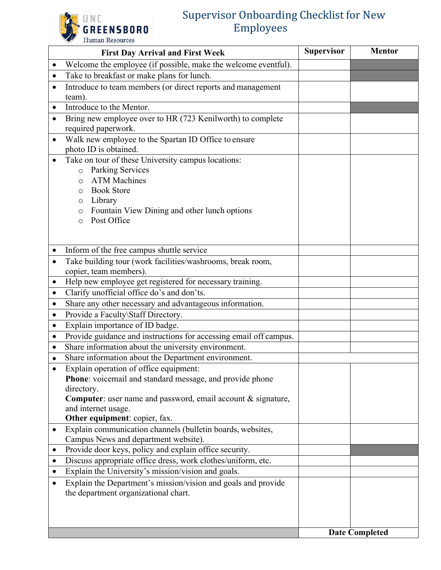## **GREENSBORO** Human Resources

## Supervisor Onboarding Checklist for New Employees

| <b>First Day Arrival and First Week</b> |                                                                   | <b>Supervisor</b> | <b>Mentor</b>         |
|-----------------------------------------|-------------------------------------------------------------------|-------------------|-----------------------|
| $\bullet$                               | Welcome the employee (if possible, make the welcome eventful).    |                   |                       |
|                                         | Take to breakfast or make plans for lunch.                        |                   |                       |
| $\bullet$                               | Introduce to team members (or direct reports and management       |                   |                       |
|                                         | team).                                                            |                   |                       |
| $\bullet$                               | Introduce to the Mentor.                                          |                   |                       |
|                                         | Bring new employee over to HR (723 Kenilworth) to complete        |                   |                       |
|                                         | required paperwork.                                               |                   |                       |
| $\bullet$                               | Walk new employee to the Spartan ID Office to ensure              |                   |                       |
|                                         | photo ID is obtained.                                             |                   |                       |
|                                         | Take on tour of these University campus locations:                |                   |                       |
|                                         | Parking Services<br>$\circ$                                       |                   |                       |
|                                         | <b>ATM Machines</b><br>O                                          |                   |                       |
|                                         | <b>Book Store</b><br>O                                            |                   |                       |
|                                         | Library<br>O<br>Fountain View Dining and other lunch options      |                   |                       |
|                                         | O<br>Post Office                                                  |                   |                       |
|                                         | $\circ$                                                           |                   |                       |
|                                         |                                                                   |                   |                       |
|                                         | Inform of the free campus shuttle service                         |                   |                       |
|                                         | Take building tour (work facilities/washrooms, break room,        |                   |                       |
|                                         | copier, team members).                                            |                   |                       |
| ٠                                       | Help new employee get registered for necessary training.          |                   |                       |
| $\bullet$                               | Clarify unofficial office do's and don'ts.                        |                   |                       |
| ٠                                       | Share any other necessary and advantageous information.           |                   |                       |
| $\bullet$                               | Provide a Faculty\Staff Directory.                                |                   |                       |
| $\bullet$                               | Explain importance of ID badge.                                   |                   |                       |
| $\bullet$                               | Provide guidance and instructions for accessing email off campus. |                   |                       |
|                                         | Share information about the university environment.               |                   |                       |
|                                         | Share information about the Department environment.               |                   |                       |
|                                         | Explain operation of office equipment:                            |                   |                       |
|                                         | Phone: voicemail and standard message, and provide phone          |                   |                       |
|                                         | directory.                                                        |                   |                       |
|                                         | Computer: user name and password, email account & signature,      |                   |                       |
|                                         | and internet usage.<br>Other equipment: copier, fax.              |                   |                       |
| $\bullet$                               | Explain communication channels (bulletin boards, websites,        |                   |                       |
|                                         | Campus News and department website).                              |                   |                       |
| ٠                                       | Provide door keys, policy and explain office security.            |                   |                       |
| $\bullet$                               | Discuss appropriate office dress, work clothes/uniform, etc.      |                   |                       |
| $\bullet$                               | Explain the University's mission/vision and goals.                |                   |                       |
|                                         | Explain the Department's mission/vision and goals and provide     |                   |                       |
|                                         | the department organizational chart.                              |                   |                       |
|                                         |                                                                   |                   |                       |
|                                         |                                                                   |                   |                       |
|                                         |                                                                   |                   |                       |
|                                         |                                                                   |                   | <b>Date Completed</b> |